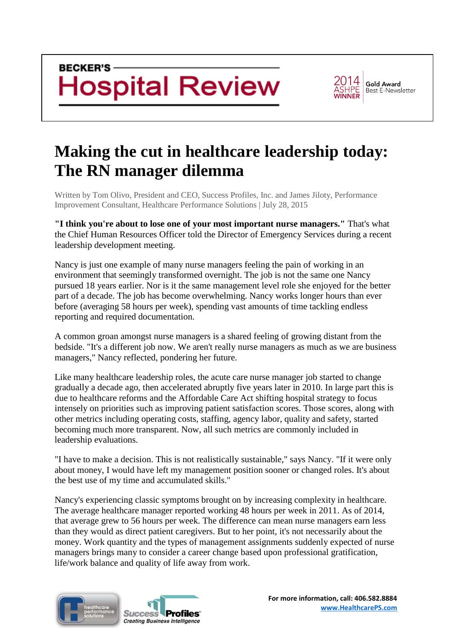

**Gold Award Best E-Newsletter** 

## **[Making the cut in healthcare leadership today:](http://www.beckershospitalreview.com/hospital-management-administration/making-the-cut-in-healthcare-leadership-today-the-rn-manager-dilemma.html)  [The RN manager dilemma](http://www.beckershospitalreview.com/hospital-management-administration/making-the-cut-in-healthcare-leadership-today-the-rn-manager-dilemma.html)**

Written by Tom Olivo, President and CEO, Success Profiles, Inc. and James Jiloty, Performance Improvement Consultant, Healthcare Performance Solutions | July 28, 2015

**"I think you're about to lose one of your most important nurse managers."** That's what the Chief Human Resources Officer told the Director of Emergency Services during a recent leadership development meeting.

Nancy is just one example of many nurse managers feeling the pain of working in an environment that seemingly transformed overnight. The job is not the same one Nancy pursued 18 years earlier. Nor is it the same management level role she enjoyed for the better part of a decade. The job has become overwhelming. Nancy works longer hours than ever before (averaging 58 hours per week), spending vast amounts of time tackling endless reporting and required documentation.

A common groan amongst nurse managers is a shared feeling of growing distant from the bedside. "It's a different job now. We aren't really nurse managers as much as we are business managers," Nancy reflected, pondering her future.

Like many healthcare leadership roles, the acute care nurse manager job started to change gradually a decade ago, then accelerated abruptly five years later in 2010. In large part this is due to healthcare reforms and the Affordable Care Act shifting hospital strategy to focus intensely on priorities such as improving patient satisfaction scores. Those scores, along with other metrics including operating costs, staffing, agency labor, quality and safety, started becoming much more transparent. Now, all such metrics are commonly included in leadership evaluations.

"I have to make a decision. This is not realistically sustainable," says Nancy. "If it were only about money, I would have left my management position sooner or changed roles. It's about the best use of my time and accumulated skills."

Nancy's experiencing classic symptoms brought on by increasing complexity in healthcare. The average healthcare manager reported working 48 hours per week in 2011. As of 2014, that average grew to 56 hours per week. The difference can mean nurse managers earn less than they would as direct patient caregivers. But to her point, it's not necessarily about the money. Work quantity and the types of management assignments suddenly expected of nurse managers brings many to consider a career change based upon professional gratification, life/work balance and quality of life away from work.



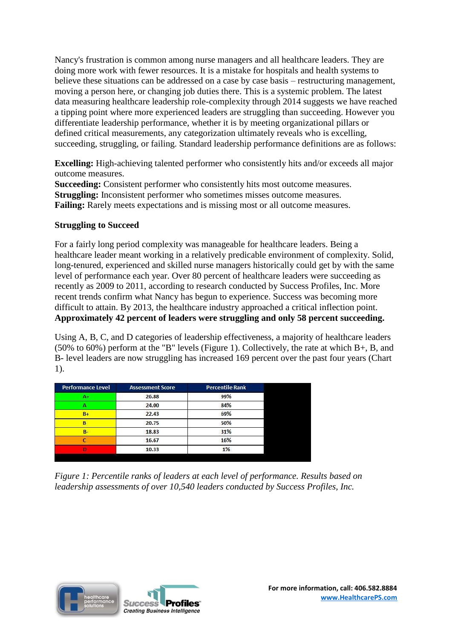Nancy's frustration is common among nurse managers and all healthcare leaders. They are doing more work with fewer resources. It is a mistake for hospitals and health systems to believe these situations can be addressed on a case by case basis – restructuring management, moving a person here, or changing job duties there. This is a systemic problem. The latest data measuring healthcare leadership role-complexity through 2014 suggests we have reached a tipping point where more experienced leaders are struggling than succeeding. However you differentiate leadership performance, whether it is by meeting organizational pillars or defined critical measurements, any categorization ultimately reveals who is excelling, succeeding, struggling, or failing. Standard leadership performance definitions are as follows:

**Excelling:** High-achieving talented performer who consistently hits and/or exceeds all major outcome measures.

**Succeeding:** Consistent performer who consistently hits most outcome measures. **Struggling:** Inconsistent performer who sometimes misses outcome measures. **Failing:** Rarely meets expectations and is missing most or all outcome measures.

## **Struggling to Succeed**

For a fairly long period complexity was manageable for healthcare leaders. Being a healthcare leader meant working in a relatively predicable environment of complexity. Solid, long-tenured, experienced and skilled nurse managers historically could get by with the same level of performance each year. Over 80 percent of healthcare leaders were succeeding as recently as 2009 to 2011, according to research conducted by Success Profiles, Inc. More recent trends confirm what Nancy has begun to experience. Success was becoming more difficult to attain. By 2013, the healthcare industry approached a critical inflection point. **Approximately 42 percent of leaders were struggling and only 58 percent succeeding.**

Using A, B, C, and D categories of leadership effectiveness, a majority of healthcare leaders (50% to 60%) perform at the "B" levels (Figure 1). Collectively, the rate at which B+, B, and B- level leaders are now struggling has increased 169 percent over the past four years (Chart 1).

| <b>Performance Level</b> | <b>Assessment Score</b> | <b>Percentile Rank</b> |
|--------------------------|-------------------------|------------------------|
| $A+$                     | 26.88                   | 99%                    |
|                          | 24.00                   | 84%                    |
| $B +$                    | 22.43                   | 69%                    |
| B                        | 20.75                   | 50%                    |
| $B -$                    | 18.83                   | 31%                    |
|                          | 16.67                   | 16%                    |
|                          | 10.33                   | 1%                     |

*Figure 1: Percentile ranks of leaders at each level of performance. Results based on leadership assessments of over 10,540 leaders conducted by Success Profiles, Inc.*

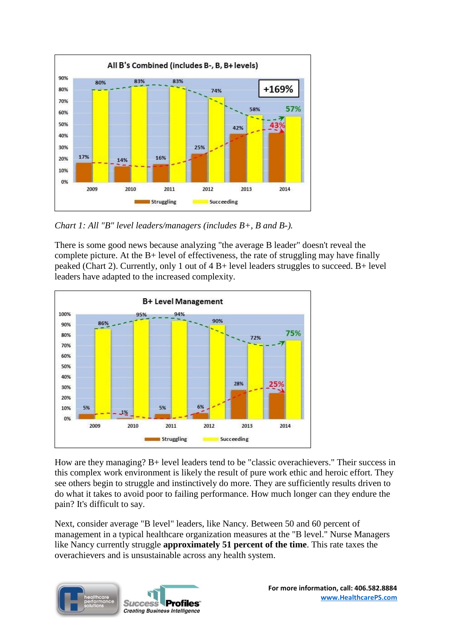

*Chart 1: All "B" level leaders/managers (includes B+, B and B-).*

There is some good news because analyzing "the average B leader" doesn't reveal the complete picture. At the B+ level of effectiveness, the rate of struggling may have finally peaked (Chart 2). Currently, only 1 out of 4 B+ level leaders struggles to succeed. B+ level leaders have adapted to the increased complexity.



How are they managing? B+ level leaders tend to be "classic overachievers." Their success in this complex work environment is likely the result of pure work ethic and heroic effort. They see others begin to struggle and instinctively do more. They are sufficiently results driven to do what it takes to avoid poor to failing performance. How much longer can they endure the pain? It's difficult to say.

Next, consider average "B level" leaders, like Nancy. Between 50 and 60 percent of management in a typical healthcare organization measures at the "B level." Nurse Managers like Nancy currently struggle **approximately 51 percent of the time**. This rate taxes the overachievers and is unsustainable across any health system.

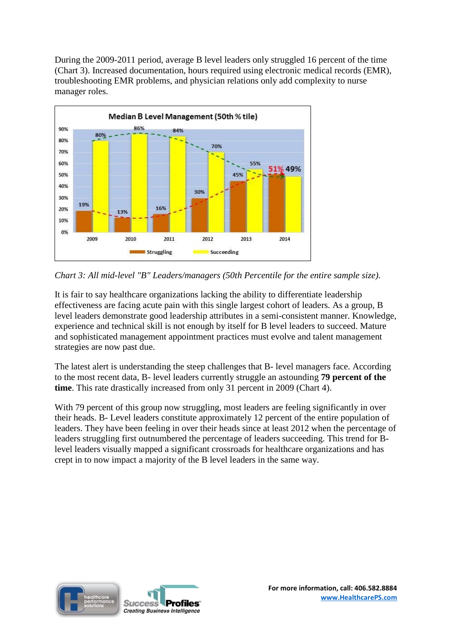During the 2009-2011 period, average B level leaders only struggled 16 percent of the time (Chart 3). Increased documentation, hours required using electronic medical records (EMR), troubleshooting EMR problems, and physician relations only add complexity to nurse manager roles.





It is fair to say healthcare organizations lacking the ability to differentiate leadership effectiveness are facing acute pain with this single largest cohort of leaders. As a group, B level leaders demonstrate good leadership attributes in a semi-consistent manner. Knowledge, experience and technical skill is not enough by itself for B level leaders to succeed. Mature and sophisticated management appointment practices must evolve and talent management strategies are now past due.

The latest alert is understanding the steep challenges that B- level managers face. According to the most recent data, B- level leaders currently struggle an astounding **79 percent of the time**. This rate drastically increased from only 31 percent in 2009 (Chart 4).

With 79 percent of this group now struggling, most leaders are feeling significantly in over their heads. B- Level leaders constitute approximately 12 percent of the entire population of leaders. They have been feeling in over their heads since at least 2012 when the percentage of leaders struggling first outnumbered the percentage of leaders succeeding. This trend for Blevel leaders visually mapped a significant crossroads for healthcare organizations and has crept in to now impact a majority of the B level leaders in the same way.

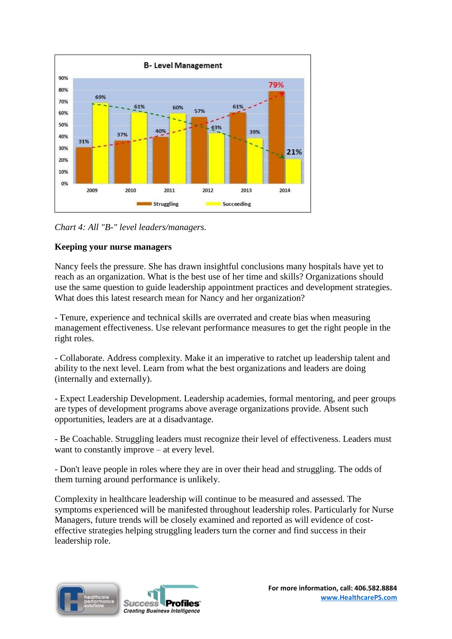

*Chart 4: All "B-" level leaders/managers.*

## **Keeping your nurse managers**

Nancy feels the pressure. She has drawn insightful conclusions many hospitals have yet to reach as an organization. What is the best use of her time and skills? Organizations should use the same question to guide leadership appointment practices and development strategies. What does this latest research mean for Nancy and her organization?

- Tenure, experience and technical skills are overrated and create bias when measuring management effectiveness. Use relevant performance measures to get the right people in the right roles.

- Collaborate. Address complexity. Make it an imperative to ratchet up leadership talent and ability to the next level. Learn from what the best organizations and leaders are doing (internally and externally).

- Expect Leadership Development. Leadership academies, formal mentoring, and peer groups are types of development programs above average organizations provide. Absent such opportunities, leaders are at a disadvantage.

- Be Coachable. Struggling leaders must recognize their level of effectiveness. Leaders must want to constantly improve – at every level.

- Don't leave people in roles where they are in over their head and struggling. The odds of them turning around performance is unlikely.

Complexity in healthcare leadership will continue to be measured and assessed. The symptoms experienced will be manifested throughout leadership roles. Particularly for Nurse Managers, future trends will be closely examined and reported as will evidence of costeffective strategies helping struggling leaders turn the corner and find success in their leadership role.

**Profiles**